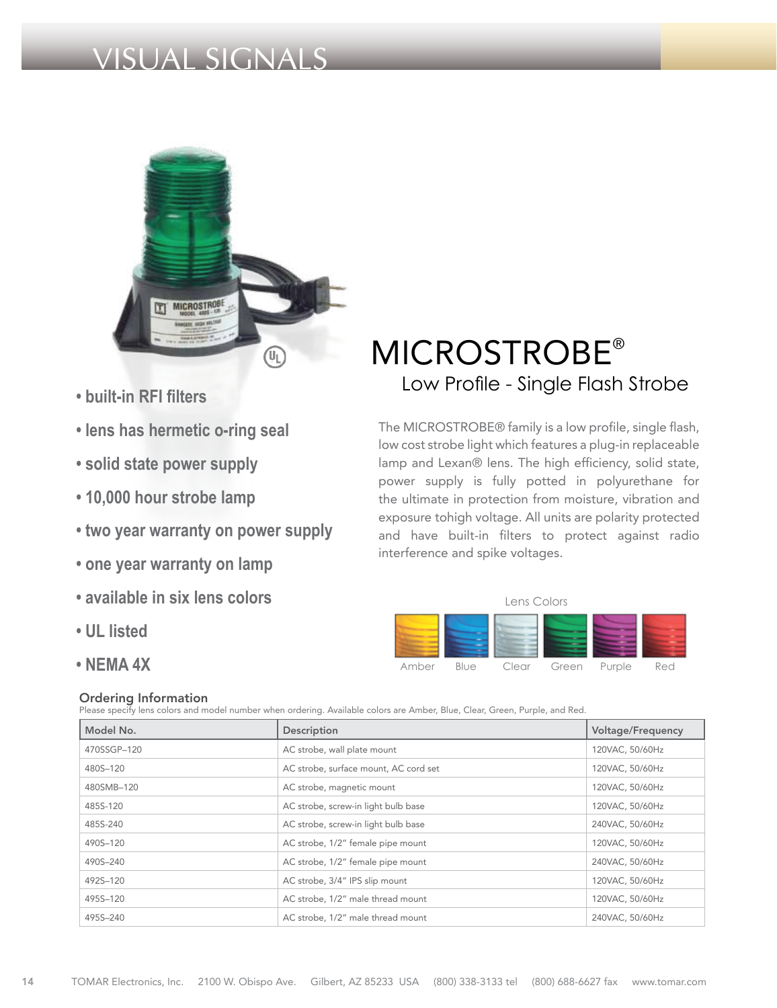# VISUAL SIGNALS



- **built-in RFI filters**
- **lens has hermetic o-ring seal**
- **solid state power supply**
- **10,000 hour strobe lamp**
- **two year warranty on power supply**
- **one year warranty on lamp**
- **available in six lens colors**
- **UL listed**
- **NEMA 4X**

# Ordering Information

Please specify lens colors and model number when ordering. Available colors are Amber, Blue, Clear, Green, Purple, and Red.

| Model No.   | Description                           | <b>Voltage/Frequency</b> |
|-------------|---------------------------------------|--------------------------|
| 470SSGP-120 | AC strobe, wall plate mount           | 120VAC, 50/60Hz          |
| 480S-120    | AC strobe, surface mount, AC cord set | 120VAC, 50/60Hz          |
| 480SMB-120  | AC strobe, magnetic mount             | 120VAC, 50/60Hz          |
| 485S-120    | AC strobe, screw-in light bulb base   | 120VAC, 50/60Hz          |
| 485S-240    | AC strobe, screw-in light bulb base   | 240VAC, 50/60Hz          |
| 490S-120    | AC strobe, 1/2" female pipe mount     | 120VAC, 50/60Hz          |
| 490S-240    | AC strobe, 1/2" female pipe mount     | 240VAC, 50/60Hz          |
| 492S-120    | AC strobe, 3/4" IPS slip mount        | 120VAC, 50/60Hz          |
| 495S-120    | AC strobe, 1/2" male thread mount     | 120VAC, 50/60Hz          |
| 495S-240    | AC strobe, 1/2" male thread mount     | 240VAC, 50/60Hz          |

# MICROSTROBE® Low Profile - Single Flash Strobe

The MICROSTROBE® family is a low profile, single flash, low cost strobe light which features a plug-in replaceable lamp and Lexan® lens. The high efficiency, solid state, power supply is fully potted in polyurethane for the ultimate in protection from moisture, vibration and exposure tohigh voltage. All units are polarity protected and have built-in filters to protect against radio interference and spike voltages.